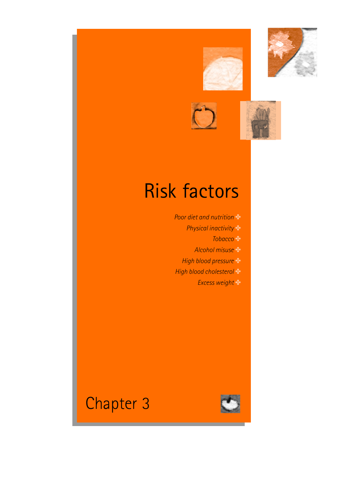





# Risk factors

*Poor diet and nutrition* ✤ *Physical inactivity* ✤ *Tobacco* ✤ *Alcohol misuse* ✤ *High blood pressure* ✤ *High blood cholesterol* ✤ *Excess weight* ✤



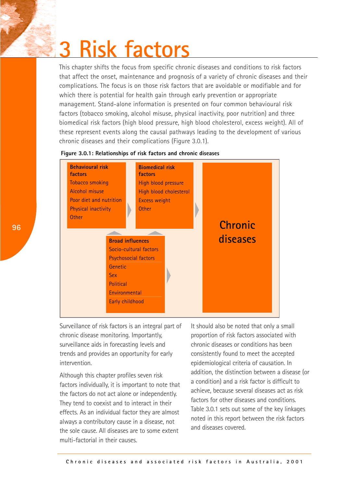# **3 Risk factors**

This chapter shifts the focus from specific chronic diseases and conditions to risk factors that affect the onset, maintenance and prognosis of a variety of chronic diseases and their complications. The focus is on those risk factors that are avoidable or modifiable and for which there is potential for health gain through early prevention or appropriate management. Stand-alone information is presented on four common behavioural risk factors (tobacco smoking, alcohol misuse, physical inactivity, poor nutrition) and three biomedical risk factors (high blood pressure, high blood cholesterol, excess weight). All of these represent events along the causal pathways leading to the development of various chronic diseases and their complications (Figure 3.0.1).

## **Figure 3.0.1: Relationships of risk factors and chronic diseases**



Surveillance of risk factors is an integral part of chronic disease monitoring. Importantly, surveillance aids in forecasting levels and trends and provides an opportunity for early intervention.

Although this chapter profiles seven risk factors individually, it is important to note that the factors do not act alone or independently. They tend to coexist and to interact in their effects. As an individual factor they are almost always a contributory cause in a disease, not the sole cause. All diseases are to some extent multi-factorial in their causes.

It should also be noted that only a small proportion of risk factors associated with chronic diseases or conditions has been consistently found to meet the accepted epidemiological criteria of causation. In addition, the distinction between a disease (or a condition) and a risk factor is difficult to achieve, because several diseases act as risk factors for other diseases and conditions. Table 3.0.1 sets out some of the key linkages noted in this report between the risk factors and diseases covered.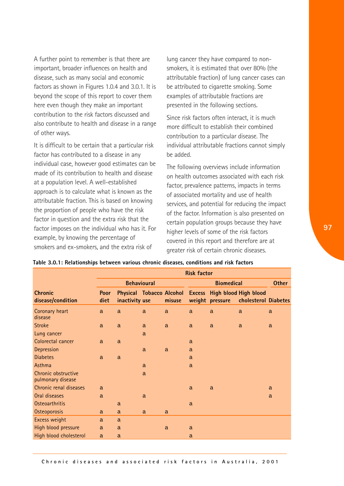A further point to remember is that there are important, broader influences on health and disease, such as many social and economic factors as shown in Figures 1.0.4 and 3.0.1. It is beyond the scope of this report to cover them here even though they make an important contribution to the risk factors discussed and also contribute to health and disease in a range of other ways.

It is difficult to be certain that a particular risk factor has contributed to a disease in any individual case, however good estimates can be made of its contribution to health and disease at a population level. A well-established approach is to calculate what is known as the attributable fraction. This is based on knowing the proportion of people who have the risk factor in question and the extra risk that the factor imposes on the individual who has it. For example, by knowing the percentage of smokers and ex-smokers, and the extra risk of

lung cancer they have compared to nonsmokers, it is estimated that over 80% (the attributable fraction) of lung cancer cases can be attributed to cigarette smoking. Some examples of attributable fractions are presented in the following sections.

Since risk factors often interact, it is much more difficult to establish their combined contribution to a particular disease. The individual attributable fractions cannot simply be added.

The following overviews include information on health outcomes associated with each risk factor, prevalence patterns, impacts in terms of associated mortality and use of health services, and potential for reducing the impact of the factor. Information is also presented on certain population groups because they have higher levels of some of the risk factors covered in this report and therefore are at greater risk of certain chronic diseases.

|                                          | <b>Risk factor</b>  |                |              |                   |              |                 |                                                                               |              |
|------------------------------------------|---------------------|----------------|--------------|-------------------|--------------|-----------------|-------------------------------------------------------------------------------|--------------|
|                                          | <b>Behavioural</b>  |                |              | <b>Biomedical</b> |              |                 | <b>Other</b>                                                                  |              |
| <b>Chronic</b><br>disease/condition      | <b>Poor</b><br>diet | inactivity use |              | misuse            |              | weight pressure | Physical Tobacco Alcohol Excess High blood High blood<br>cholesterol Diabetes |              |
| Coronary heart<br>disease                | $\mathsf{a}$        | $\mathsf{a}$   | $\mathsf{a}$ | a                 | a            | a               | $\mathsf{a}$                                                                  | a            |
| <b>Stroke</b>                            | $\mathsf{a}$        | $\mathsf{a}$   | $\mathsf{a}$ | $\mathsf{a}$      | $\mathsf{a}$ | a               | $\mathsf{a}$                                                                  | a            |
| Lung cancer                              |                     |                | $\mathsf{a}$ |                   |              |                 |                                                                               |              |
| Colorectal cancer                        | $\mathsf{a}$        | $\mathsf{a}$   |              |                   | a            |                 |                                                                               |              |
| Depression                               |                     |                | a            | $\mathsf{a}$      | a            |                 |                                                                               |              |
| <b>Diabetes</b>                          | $\mathsf{a}$        | $\mathsf{a}$   |              |                   | a            |                 |                                                                               |              |
| Asthma                                   |                     |                | $\mathsf{a}$ |                   | $\mathsf{a}$ |                 |                                                                               |              |
| Chronic obstructive<br>pulmonary disease |                     |                | a            |                   |              |                 |                                                                               |              |
| Chronic renal diseases                   | a                   |                |              |                   | a            | a               |                                                                               | a            |
| Oral diseases                            | a                   |                | a            |                   |              |                 |                                                                               | $\mathsf{a}$ |
| <b>Osteoarthritis</b>                    |                     | a              |              |                   | a            |                 |                                                                               |              |
| Osteoporosis                             | a                   | a              | a            | a                 |              |                 |                                                                               |              |
| Excess weight                            | a                   | a              |              |                   |              |                 |                                                                               |              |
| High blood pressure                      | $\mathsf{a}$        | $\mathsf{a}$   |              | $\mathsf{a}$      | a            |                 |                                                                               |              |
| High blood cholesterol                   | a                   | a              |              |                   | a            |                 |                                                                               |              |

#### **Table 3.0.1: Relationships between various chronic diseases, conditions and risk factors**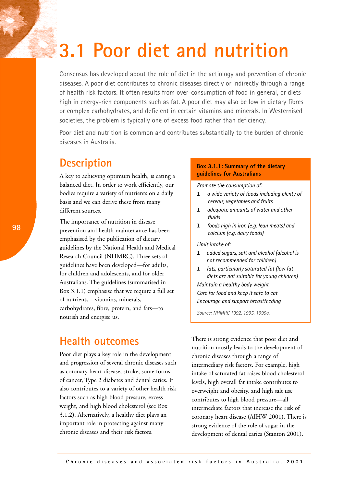# **3.1 Poor diet and nutrition**

Consensus has developed about the role of diet in the aetiology and prevention of chronic diseases. A poor diet contributes to chronic diseases directly or indirectly through a range of health risk factors. It often results from over-consumption of food in general, or diets high in energy-rich components such as fat. A poor diet may also be low in dietary fibres or complex carbohydrates, and deficient in certain vitamins and minerals. In Westernised societies, the problem is typically one of excess food rather than deficiency.

Poor diet and nutrition is common and contributes substantially to the burden of chronic diseases in Australia.

# **Description**

A key to achieving optimum health, is eating a balanced diet. In order to work efficiently, our bodies require a variety of nutrients on a daily basis and we can derive these from many different sources.

The importance of nutrition in disease prevention and health maintenance has been emphasised by the publication of dietary guidelines by the National Health and Medical Research Council (NHMRC). Three sets of guidelines have been developed—for adults, for children and adolescents, and for older Australians. The guidelines (summarised in Box 3.1.1) emphasise that we require a full set of nutrients—vitamins, minerals, carbohydrates, fibre, protein, and fats—to nourish and energise us.

## **Health outcomes**

Poor diet plays a key role in the development and progression of several chronic diseases such as coronary heart disease, stroke, some forms of cancer, Type 2 diabetes and dental caries. It also contributes to a variety of other health risk factors such as high blood pressure, excess weight, and high blood cholesterol (see Box 3.1.2). Alternatively, a healthy diet plays an important role in protecting against many chronic diseases and their risk factors.

## **Box 3.1.1: Summary of the dietary guidelines for Australians**

*Promote the consumption of:*

- l *a wide variety of foods including plenty of cereals, vegetables and fruits*
- l *adequate amounts of water and other fluids*
- l *foods high in iron (e.g. lean meats) and calcium (e.g. dairy foods)*

## *Limit intake of:*

- l *added sugars, salt and alcohol (alcohol is not recommended for children)*
- l *fats, particularly saturated fat (low fat diets are not suitable for young children) Maintain a healthy body weight Care for food and keep it safe to eat Encourage and support breastfeeding*

*Source: NHMRC 1992, 1995, 1999a.* 

There is strong evidence that poor diet and nutrition mostly leads to the development of chronic diseases through a range of intermediary risk factors. For example, high intake of saturated fat raises blood cholesterol levels, high overall fat intake contributes to overweight and obesity, and high salt use contributes to high blood pressure—all intermediate factors that increase the risk of coronary heart disease (AIHW 2001). There is strong evidence of the role of sugar in the development of dental caries (Stanton 2001).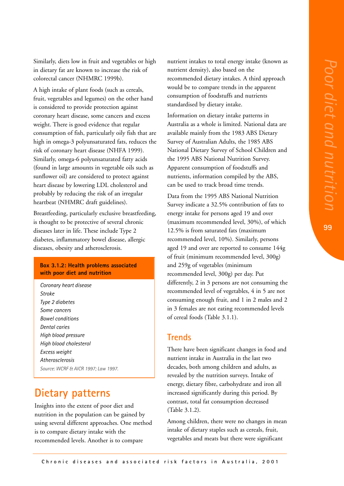**99**

Similarly, diets low in fruit and vegetables or high in dietary fat are known to increase the risk of colorectal cancer (NHMRC 1999b).

A high intake of plant foods (such as cereals, fruit, vegetables and legumes) on the other hand is considered to provide protection against coronary heart disease, some cancers and excess weight. There is good evidence that regular consumption of fish, particularly oily fish that are high in omega-3 polyunsaturated fats, reduces the risk of coronary heart disease (NHFA 1999). Similarly, omega-6 polyunsaturated fatty acids (found in large amounts in vegetable oils such as sunflower oil) are considered to protect against heart disease by lowering LDL cholesterol and probably by reducing the risk of an irregular heartbeat (NHMRC draft guidelines).

Breastfeeding, particularly exclusive breastfeeding, is thought to be protective of several chronic diseases later in life. These include Type 2 diabetes, inflammatory bowel disease, allergic diseases, obesity and atherosclerosis.

### **Box 3.1.2: Health problems associated with poor diet and nutrition**

*Coronary heart disease Stroke Type 2 diabetes Some cancers Bowel conditions Dental caries High blood pressure High blood cholesterol Excess weight Atherosclerosis Source: WCRF & AICR 1997; Law 1997.* 

# **Dietary patterns**

Insights into the extent of poor diet and nutrition in the population can be gained by using several different approaches. One method is to compare dietary intake with the recommended levels. Another is to compare

nutrient intakes to total energy intake (known as nutrient density), also based on the recommended dietary intakes. A third approach would be to compare trends in the apparent consumption of foodstuffs and nutrients standardised by dietary intake.

Information on dietary intake patterns in Australia as a whole is limited. National data are available mainly from the 1983 ABS Dietary Survey of Australian Adults, the 1985 ABS National Dietary Survey of School Children and the 1995 ABS National Nutrition Survey. Apparent consumption of foodstuffs and nutrients, information compiled by the ABS, can be used to track broad time trends.

Data from the 1995 ABS National Nutrition Survey indicate a 32.5% contribution of fats to energy intake for persons aged 19 and over (maximum recommended level, 30%), of which 12.5% is from saturated fats (maximum recommended level, 10%). Similarly, persons aged 19 and over are reported to consume 144g of fruit (minimum recommended level, 300g) and 259g of vegetables (minimum recommended level, 300g) per day. Put differently, 2 in 3 persons are not consuming the recommended level of vegetables, 4 in 5 are not consuming enough fruit, and 1 in 2 males and 2 in 3 females are not eating recommended levels of cereal foods (Table 3.1.1).

## **Trends**

There have been significant changes in food and nutrient intake in Australia in the last two decades, both among children and adults, as revealed by the nutrition surveys. Intake of energy, dietary fibre, carbohydrate and iron all increased significantly during this period. By contrast, total fat consumption decreased (Table 3.1.2).

Among children, there were no changes in mean intake of dietary staples such as cereals, fruit, vegetables and meats but there were significant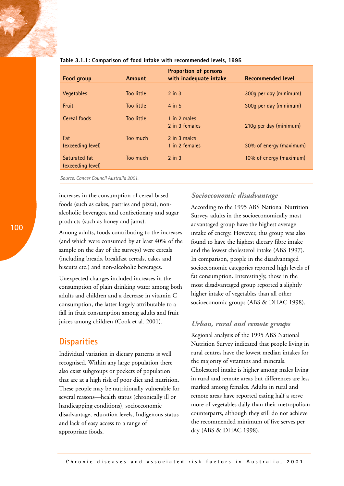| Food group                         | Amount     | <b>Proportion of persons</b><br>with inadequate intake | <b>Recommended level</b> |
|------------------------------------|------------|--------------------------------------------------------|--------------------------|
| Vegetables                         | Too little | $2$ in $3$                                             | 300g per day (minimum)   |
| Fruit                              | Too little | 4 in 5                                                 | 300g per day (minimum)   |
| Cereal foods                       | Too little | 1 in 2 males<br>2 in 3 females                         | 210q per day (minimum)   |
| Fat<br>(exceeding level)           | Too much   | 2 in 3 males<br>1 in 2 females                         | 30% of energy (maximum)  |
| Saturated fat<br>(exceeding level) | Too much   | $2$ in $3$                                             | 10% of energy (maximum)  |

#### **Table 3.1.1: Comparison of food intake with recommended levels, 1995**

*Source: Cancer Council Australia 2001.*

increases in the consumption of cereal-based foods (such as cakes, pastries and pizza), nonalcoholic beverages, and confectionary and sugar products (such as honey and jams).

Among adults, foods contributing to the increases (and which were consumed by at least 40% of the sample on the day of the surveys) were cereals (including breads, breakfast cereals, cakes and biscuits etc.) and non-alcoholic beverages.

Unexpected changes included increases in the consumption of plain drinking water among both adults and children and a decrease in vitamin C consumption, the latter largely attributable to a fall in fruit consumption among adults and fruit juices among children (Cook et al. 2001).

## **Disparities**

Individual variation in dietary patterns is well recognised. Within any large population there also exist subgroups or pockets of population that are at a high risk of poor diet and nutrition. These people may be nutritionally vulnerable for several reasons—health status (chronically ill or handicapping conditions), socioeconomic disadvantage, education levels, Indigenous status and lack of easy access to a range of appropriate foods.

## *Socioeconomic disadvantage*

According to the 1995 ABS National Nutrition Survey, adults in the socioeconomically most advantaged group have the highest average intake of energy. However, this group was also found to have the highest dietary fibre intake and the lowest cholesterol intake (ABS 1997). In comparison, people in the disadvantaged socioeconomic categories reported high levels of fat consumption. Interestingly, those in the most disadvantaged group reported a slightly higher intake of vegetables than all other socioeconomic groups (ABS & DHAC 1998).

## *Urban, rural and remote groups*

Regional analysis of the 1995 ABS National Nutrition Survey indicated that people living in rural centres have the lowest median intakes for the majority of vitamins and minerals. Cholesterol intake is higher among males living in rural and remote areas but differences are less marked among females. Adults in rural and remote areas have reported eating half a serve more of vegetables daily than their metropolitan counterparts, although they still do not achieve the recommended minimum of five serves per day (ABS & DHAC 1998).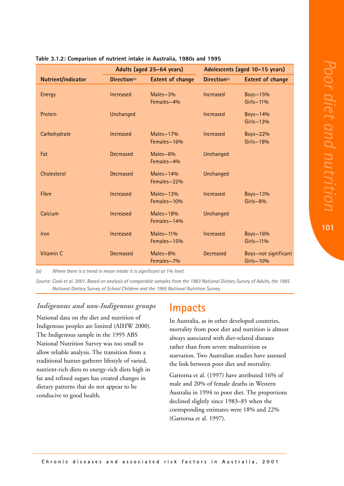**101**

|                    |                  | Adults (aged 25-64 years) | Adolescents (aged 10-15 years) |                                     |  |
|--------------------|------------------|---------------------------|--------------------------------|-------------------------------------|--|
| Nutrient/indicator | Direction(a)     | <b>Extent of change</b>   | Direction(a)                   | <b>Extent of change</b>             |  |
| Energy             | Increased        | Males-3%<br>Females-4%    | Increased                      | Boys-15%<br>Girls-11%               |  |
| Protein            | Unchanged        |                           | Increased                      | Boys-14%<br>Girls-13%               |  |
| Carbohydrate       | Increased        | Males-17%<br>Females-16%  | Increased                      | Boys-22%<br>Girls-18%               |  |
| Fat                | <b>Decreased</b> | Males-6%<br>Females-4%    | Unchanged                      |                                     |  |
| Cholesterol        | <b>Decreased</b> | Males-14%<br>Females-22%  | Unchanged                      |                                     |  |
| <b>Fibre</b>       | Increased        | Males-13%<br>Females-10%  | Increased                      | Boys-13%<br>$Girls - 8%$            |  |
| Calcium            | Increased        | Males-18%<br>Females-14%  | Unchanged                      |                                     |  |
| Iron               | Increased        | Males-11%<br>Females-15%  | Increased                      | Boys-16%<br>Girls-11%               |  |
| Vitamin C          | <b>Decreased</b> | Males-8%<br>Females-7%    | <b>Decreased</b>               | Boys-not significant<br>$Girls-10%$ |  |

### **Table 3.1.2: Comparison of nutrient intake in Australia, 1980s and 1995**

*(a) Where there is a trend in mean intake it is significant at 1% level.*

*Source: Cook et al. 2001. Based on analysis of comparable samples from the 1983 National Dietary Survey of Adults, the 1985 National Dietary Survey of School Children and the 1995 National Nutrition Survey.*

## *Indigenous and non-Indigenous groups*

National data on the diet and nutrition of Indigenous peoples are limited (AIHW 2000). The Indigenous sample in the 1995 ABS National Nutrition Survey was too small to allow reliable analysis. The transition from a traditional hunter-gatherer lifestyle of varied, nutrient-rich diets to energy-rich diets high in fat and refined sugars has created changes in dietary patterns that do not appear to be conducive to good health.

## **Impacts**

In Australia, as in other developed countries, mortality from poor diet and nutrition is almost always associated with diet-related diseases rather than from severe malnutrition or starvation. Two Australian studies have assessed the link between poor diet and mortality.

Gattorna et al. (1997) have attributed 16% of male and 20% of female deaths in Western Australia in 1994 to poor diet. The proportions declined slightly since 1983–85 when the corresponding estimates were 18% and 22% (Gattorna et al. 1997).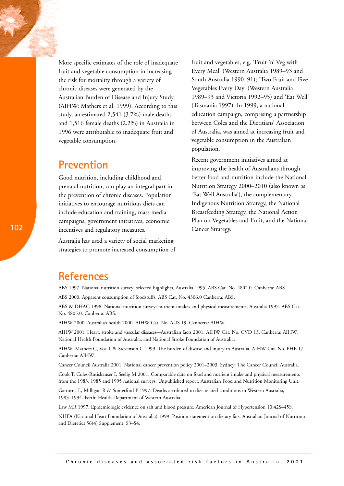More specific estimates of the role of inadequate fruit and vegetable consumption in increasing the risk for mortality through a variety of chronic diseases were generated by the Australian Burden of Disease and Injury Study (AIHW: Mathers et al. 1999). According to this study, an estimated 2,541 (3.7%) male deaths and 1,516 female deaths (2.2%) in Australia in 1996 were attributable to inadequate fruit and vegetable consumption.

## **Prevention**

Good nutrition, including childhood and prenatal nutrition, can play an integral part in the prevention of chronic diseases. Population initiatives to encourage nutritious diets can include education and training, mass media campaigns, government initiatives, economic incentives and regulatory measures.

Australia has used a variety of social marketing strategies to promote increased consumption of fruit and vegetables, e.g. 'Fruit 'n' Veg with Every Meal' (Western Australia 1989–93 and South Australia 1990–91); 'Two Fruit and Five Vegetables Every Day' (Western Australia 1989–93 and Victoria 1992–95) and 'Eat Well' (Tasmania 1997). In 1999, a national education campaign, comprising a partnership between Coles and the Dietitians' Association of Australia, was aimed at increasing fruit and vegetable consumption in the Australian population.

Recent government initiatives aimed at improving the health of Australians through better food and nutrition include the National Nutrition Strategy 2000–2010 (also known as 'Eat Well Australia'), the complementary Indigenous Nutrition Strategy, the National Breastfeeding Strategy, the National Action Plan on Vegetables and Fruit, and the National Cancer Strategy.

## **References**

ABS 1997. National nutrition survey: selected highlights, Australia 1995. ABS Cat. No. 4802.0. Canberra: ABS.

ABS 2000. Apparent consumption of foodstuffs. ABS Cat. No. 4306.0 Canberra: ABS.

ABS & DHAC 1998. National nutrition survey: nutrient intakes and physical measurements, Australia 1995. ABS Cat. No. 4805.0. Canberra: ABS.

AIHW 2000. Australia's health 2000. AIHW Cat. No. AUS 19. Canberra: AIHW.

AIHW 2001. Heart, stroke and vascular diseases–-Australian facts 2001. AIHW Cat. No. CVD 13. Canberra: AIHW, National Health Foundation of Australia, and National Stroke Foundation of Australia.

AIHW: Mathers C, Vos T & Stevenson C 1999. The burden of disease and injury in Australia. AIHW Cat. No. PHE 17. Canberra: AIHW.

Cancer Council Australia 2001. National cancer prevention policy 2001–2003. Sydney: The Cancer Council Australia.

Cook T, Coles-Rutishauser I, Seelig M 2001. Comparable data on food and nutrient intake and physical measurements from the 1983, 1985 and 1995 national surveys. Unpublished report. Australian Food and Nutrition Monitoring Unit.

Gattorna L, Milligan R & Somerford P 1997. Deaths attributed to diet-related conditions in Western Australia, 1983–1994. Perth: Health Department of Western Australia.

Law MR 1997. Epidemiologic evidence on salt and blood pressure. American Journal of Hypertension 10:42S–45S.

NHFA (National Heart Foundation of Australia) 1999. Position statement on dietary fats. Australian Journal of Nutrition and Dietetics 56(4) Supplement: S3–S4.

**Chronic diseases and associated risk factors in Australia, 2001**